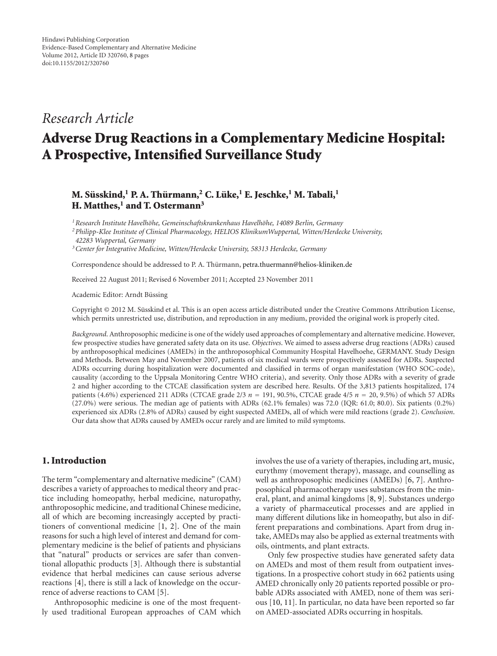## *Research Article*

# **Adverse Drug Reactions in a Complementary Medicine Hospital: A Prospective, Intensified Surveillance Study**

### **M. Susskind, ¨ <sup>1</sup> P. A. Thurmann, ¨ <sup>2</sup> C. Luke, ¨ <sup>1</sup> E. Jeschke,1 M. Tabali,1 H. Matthes,1 and T. Ostermann3**

<sup>1</sup> Research Institute Havelhöhe, Gemeinschaftskrankenhaus Havelhöhe, 14089 Berlin, Germany *2Philipp-Klee Institute of Clinical Pharmacology, HELIOS KlinikumWuppertal, Witten/Herdecke University, 42283 Wuppertal, Germany*

*3Center for Integrative Medicine, Witten/Herdecke University, 58313 Herdecke, Germany*

Correspondence should be addressed to P. A. Thürmann, petra.thuermann@helios-kliniken.de

Received 22 August 2011; Revised 6 November 2011; Accepted 23 November 2011

Academic Editor: Arndt Bussing ¨

Copyright © 2012 M. Susskind et al. This is an open access article distributed under the Creative Commons Attribution License, ¨ which permits unrestricted use, distribution, and reproduction in any medium, provided the original work is properly cited.

*Background*. Anthroposophic medicine is one of the widely used approaches of complementary and alternative medicine. However, few prospective studies have generated safety data on its use. *Objectives*. We aimed to assess adverse drug reactions (ADRs) caused by anthroposophical medicines (AMEDs) in the anthroposophical Community Hospital Havelhoehe, GERMANY. Study Design and Methods. Between May and November 2007, patients of six medical wards were prospectively assessed for ADRs. Suspected ADRs occurring during hospitalization were documented and classified in terms of organ manifestation (WHO SOC-code), causality (according to the Uppsala Monitoring Centre WHO criteria), and severity. Only those ADRs with a severity of grade 2 and higher according to the CTCAE classification system are described here. Results. Of the 3,813 patients hospitalized, 174 patients (4.6%) experienced 211 ADRs (CTCAE grade 2/3 *<sup>n</sup>* <sup>=</sup> 191, 90.5%, CTCAE grade 4/5 *<sup>n</sup>* <sup>=</sup> 20, 9.5%) of which 57 ADRs (27.0%) were serious. The median age of patients with ADRs (62.1% females) was 72.0 (IQR: 61.0; 80.0). Six patients (0.2%) experienced six ADRs (2.8% of ADRs) caused by eight suspected AMEDs, all of which were mild reactions (grade 2). *Conclusion*. Our data show that ADRs caused by AMEDs occur rarely and are limited to mild symptoms.

#### **1. Introduction**

The term "complementary and alternative medicine" (CAM) describes a variety of approaches to medical theory and practice including homeopathy, herbal medicine, naturopathy, anthroposophic medicine, and traditional Chinese medicine, all of which are becoming increasingly accepted by practitioners of conventional medicine [1, 2]. One of the main reasons for such a high level of interest and demand for complementary medicine is the belief of patients and physicians that "natural" products or services are safer than conventional allopathic products [3]. Although there is substantial evidence that herbal medicines can cause serious adverse reactions [4], there is still a lack of knowledge on the occurrence of adverse reactions to CAM [5].

Anthroposophic medicine is one of the most frequently used traditional European approaches of CAM which involves the use of a variety of therapies, including art, music, eurythmy (movement therapy), massage, and counselling as well as anthroposophic medicines (AMEDs) [6, 7]. Anthroposophical pharmacotherapy uses substances from the mineral, plant, and animal kingdoms [8, 9]. Substances undergo a variety of pharmaceutical processes and are applied in many different dilutions like in homeopathy, but also in different preparations and combinations. Apart from drug intake, AMEDs may also be applied as external treatments with oils, ointments, and plant extracts.

Only few prospective studies have generated safety data on AMEDs and most of them result from outpatient investigations. In a prospective cohort study in 662 patients using AMED chronically only 20 patients reported possible or probable ADRs associated with AMED, none of them was serious [10, 11]. In particular, no data have been reported so far on AMED-associated ADRs occurring in hospitals.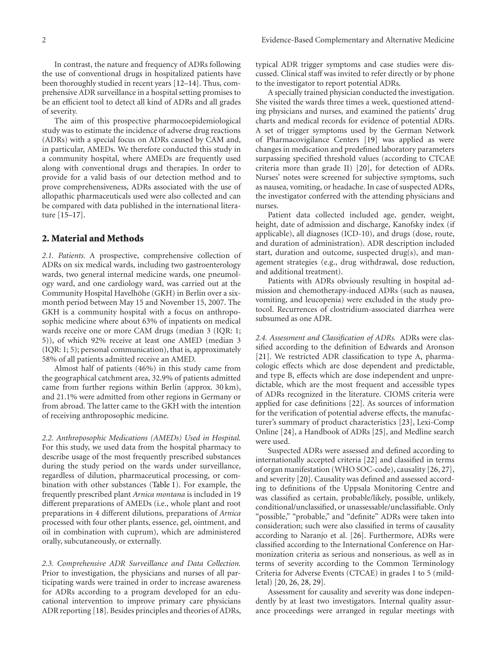In contrast, the nature and frequency of ADRs following the use of conventional drugs in hospitalized patients have been thoroughly studied in recent years [12–14]. Thus, comprehensive ADR surveillance in a hospital setting promises to be an efficient tool to detect all kind of ADRs and all grades of severity.

The aim of this prospective pharmocoepidemiological study was to estimate the incidence of adverse drug reactions (ADRs) with a special focus on ADRs caused by CAM and, in particular, AMEDs. We therefore conducted this study in a community hospital, where AMEDs are frequently used along with conventional drugs and therapies. In order to provide for a valid basis of our detection method and to prove comprehensiveness, ADRs associated with the use of allopathic pharmaceuticals used were also collected and can be compared with data published in the international literature [15–17].

#### **2. Material and Methods**

*2.1. Patients.* A prospective, comprehensive collection of ADRs on six medical wards, including two gastroenterology wards, two general internal medicine wards, one pneumology ward, and one cardiology ward, was carried out at the Community Hospital Havelhöhe (GKH) in Berlin over a sixmonth period between May 15 and November 15, 2007. The GKH is a community hospital with a focus on anthroposophic medicine where about 63% of inpatients on medical wards receive one or more CAM drugs (median 3 (IQR: 1; 5)), of which 92% receive at least one AMED (median 3 (IQR: 1; 5); personal communication), that is, approximately 58% of all patients admitted receive an AMED.

Almost half of patients (46%) in this study came from the geographical catchment area, 32.9% of patients admitted came from further regions within Berlin (approx. 30 km), and 21.1% were admitted from other regions in Germany or from abroad. The latter came to the GKH with the intention of receiving anthroposophic medicine.

*2.2. Anthroposophic Medications (AMEDs) Used in Hospital.* For this study, we used data from the hospital pharmacy to describe usage of the most frequently prescribed substances during the study period on the wards under surveillance, regardless of dilution, pharmaceutical processing, or combination with other substances (Table 1). For example, the frequently prescribed plant *Arnica montana* is included in 19 different preparations of AMEDs (i.e., whole plant and root preparations in 4 different dilutions, preparations of *Arnica* processed with four other plants, essence, gel, ointment, and oil in combination with cuprum), which are administered orally, subcutaneously, or externally.

*2.3. Comprehensive ADR Surveillance and Data Collection.* Prior to investigation, the physicians and nurses of all participating wards were trained in order to increase awareness for ADRs according to a program developed for an educational intervention to improve primary care physicians ADR reporting [18]. Besides principles and theories of ADRs,

typical ADR trigger symptoms and case studies were discussed. Clinical staff was invited to refer directly or by phone to the investigator to report potential ADRs.

A specially trained physician conducted the investigation. She visited the wards three times a week, questioned attending physicians and nurses, and examined the patients' drug charts and medical records for evidence of potential ADRs. A set of trigger symptoms used by the German Network of Pharmacovigilance Centers [19] was applied as were changes in medication and predefined laboratory parameters surpassing specified threshold values (according to CTCAE criteria more than grade II) [20], for detection of ADRs. Nurses' notes were screened for subjective symptoms, such as nausea, vomiting, or headache. In case of suspected ADRs, the investigator conferred with the attending physicians and nurses.

Patient data collected included age, gender, weight, height, date of admission and discharge, Kanofsky index (if applicable), all diagnoses (ICD-10), and drugs (dose, route, and duration of administration). ADR description included start, duration and outcome, suspected drug(s), and management strategies (e.g., drug withdrawal, dose reduction, and additional treatment).

Patients with ADRs obviously resulting in hospital admission and chemotherapy-induced ADRs (such as nausea, vomiting, and leucopenia) were excluded in the study protocol. Recurrences of clostridium-associated diarrhea were subsumed as one ADR.

*2.4. Assessment and Classification of ADRs.* ADRs were classified according to the definition of Edwards and Aronson [21]. We restricted ADR classification to type A, pharmacologic effects which are dose dependent and predictable, and type B, effects which are dose independent and unpredictable, which are the most frequent and accessible types of ADRs recognized in the literature. CIOMS criteria were applied for case definitions [22]. As sources of information for the verification of potential adverse effects, the manufacturer's summary of product characteristics [23], Lexi-Comp Online [24], a Handbook of ADRs [25], and Medline search were used.

Suspected ADRs were assessed and defined according to internationally accepted criteria [22] and classified in terms of organ manifestation (WHO SOC-code), causality [26, 27], and severity [20]. Causality was defined and assessed according to definitions of the Uppsala Monitoring Centre and was classified as certain, probable/likely, possible, unlikely, conditional/unclassified, or unassessable/unclassifiable. Only "possible," "probable," and "definite" ADRs were taken into consideration; such were also classified in terms of causality according to Naranjo et al. [26]. Furthermore, ADRs were classified according to the International Conference on Harmonization criteria as serious and nonserious, as well as in terms of severity according to the Common Terminology Criteria for Adverse Events (CTCAE) in grades 1 to 5 (mildletal) [20, 26, 28, 29].

Assessment for causality and severity was done independently by at least two investigators. Internal quality assurance proceedings were arranged in regular meetings with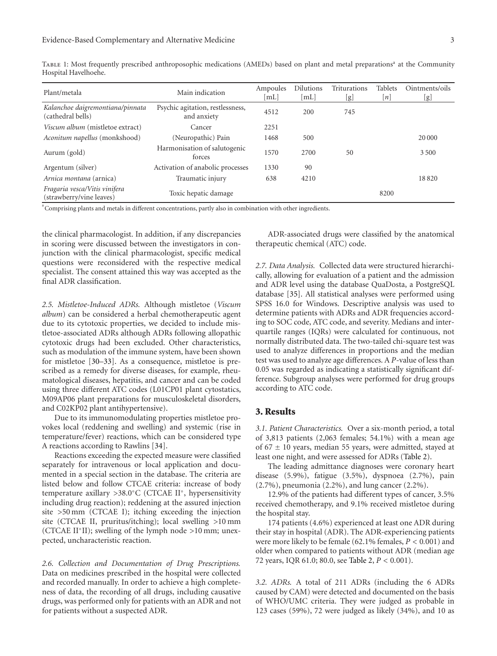| Plant/metala                                              | Main indication                                 | Ampoules<br>[mL] | Dilutions<br>[mL] | Triturations<br>[g] | Tablets<br>[n] | Ointments/oils<br>[g] |
|-----------------------------------------------------------|-------------------------------------------------|------------------|-------------------|---------------------|----------------|-----------------------|
| Kalanchoe daigremontiana/pinnata<br>(cathedral bells)     | Psychic agitation, restlessness,<br>and anxiety | 4512             | 200               | 745                 |                |                       |
| Viscum album (mistletoe extract)                          | Cancer                                          | 2251             |                   |                     |                |                       |
| Aconitum napellus (monkshood)                             | (Neuropathic) Pain                              | 1468             | 500               |                     |                | 20 000                |
| Aurum (gold)                                              | Harmonisation of salutogenic<br>forces          | 1570             | 2700              | 50                  |                | 3 5 0 0               |
| Argentum (silver)                                         | Activation of anabolic processes                | 1330             | 90                |                     |                |                       |
| Arnica montana (arnica)                                   | Traumatic injury                                | 638              | 4210              |                     |                | 18820                 |
| Fragaria vesca/Vitis vinifera<br>(strawberry/vine leaves) | Toxic hepatic damage                            |                  |                   |                     | 8200           |                       |

TABLE 1: Most frequently prescribed anthroposophic medications (AMEDs) based on plant and metal preparations<sup>a</sup> at the Community Hospital Havelhoehe.

<sup>a</sup> Comprising plants and metals in different concentrations, partly also in combination with other ingredients.

the clinical pharmacologist. In addition, if any discrepancies in scoring were discussed between the investigators in conjunction with the clinical pharmacologist, specific medical questions were reconsidered with the respective medical specialist. The consent attained this way was accepted as the final ADR classification.

*2.5. Mistletoe-Induced ADRs.* Although mistletoe (*Viscum album*) can be considered a herbal chemotherapeutic agent due to its cytotoxic properties, we decided to include mistletoe-associated ADRs although ADRs following allopathic cytotoxic drugs had been excluded. Other characteristics, such as modulation of the immune system, have been shown for mistletoe [30–33]. As a consequence, mistletoe is prescribed as a remedy for diverse diseases, for example, rheumatological diseases, hepatitis, and cancer and can be coded using three different ATC codes (L01CP01 plant cytostatics, M09AP06 plant preparations for musculoskeletal disorders, and C02KP02 plant antihypertensive).

Due to its immunomodulating properties mistletoe provokes local (reddening and swelling) and systemic (rise in temperature/fever) reactions, which can be considered type A reactions according to Rawlins [34].

Reactions exceeding the expected measure were classified separately for intravenous or local application and documented in a special section in the database. The criteria are listed below and follow CTCAE criteria: increase of body temperature axillary *>*38.0◦C (CTCAE II◦, hypersensitivity including drug reaction); reddening at the assured injection site *>*50 mm (CTCAE I); itching exceeding the injection site (CTCAE II, pruritus/itching); local swelling *>*10 mm (CTCAE II◦II); swelling of the lymph node *>*10 mm; unexpected, uncharacteristic reaction.

*2.6. Collection and Documentation of Drug Prescriptions.* Data on medicines prescribed in the hospital were collected and recorded manually. In order to achieve a high completeness of data, the recording of all drugs, including causative drugs, was performed only for patients with an ADR and not for patients without a suspected ADR.

ADR-associated drugs were classified by the anatomical therapeutic chemical (ATC) code.

*2.7. Data Analysis.* Collected data were structured hierarchically, allowing for evaluation of a patient and the admission and ADR level using the database QuaDosta, a PostgreSQL database [35]. All statistical analyses were performed using SPSS 16.0 for Windows. Descriptive analysis was used to determine patients with ADRs and ADR frequencies according to SOC code, ATC code, and severity. Medians and interquartile ranges (IQRs) were calculated for continuous, not normally distributed data. The two-tailed chi-square test was used to analyze differences in proportions and the median test was used to analyze age differences. A *P-*value of less than 0.05 was regarded as indicating a statistically significant difference. Subgroup analyses were performed for drug groups according to ATC code.

#### **3. Results**

*3.1. Patient Characteristics.* Over a six-month period, a total of 3,813 patients (2,063 females; 54.1%) with a mean age of  $67 \pm 10$  years, median 55 years, were admitted, stayed at least one night, and were assessed for ADRs (Table 2).

The leading admittance diagnoses were coronary heart disease (5.9%), fatigue (3.5%), dyspnoea (2.7%), pain (2.7%), pneumonia (2.2%), and lung cancer (2.2%).

12.9% of the patients had different types of cancer, 3.5% received chemotherapy, and 9.1% received mistletoe during the hospital stay.

174 patients (4.6%) experienced at least one ADR during their stay in hospital (ADR). The ADR-experiencing patients were more likely to be female (62.1% females, *P <* 0*.*001) and older when compared to patients without ADR (median age 72 years, IQR 61.0; 80.0, see Table 2, *P <* 0*.*001).

*3.2. ADRs.* A total of 211 ADRs (including the 6 ADRs caused by CAM) were detected and documented on the basis of WHO/UMC criteria. They were judged as probable in 123 cases (59%), 72 were judged as likely (34%), and 10 as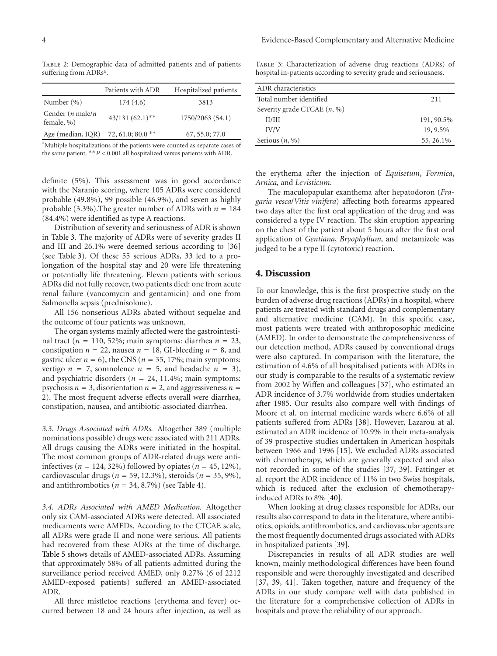Table 2: Demographic data of admitted patients and of patients suffering from ADRs<sup>a</sup>.

|                                               | Patients with ADR   | Hospitalized patients |  |  |
|-----------------------------------------------|---------------------|-----------------------|--|--|
| Number $(\% )$                                | 174(4.6)            | 3813                  |  |  |
| Gender $(n \text{ male}/n)$<br>female, $\%$ ) | $43/131 (62.1)$ **  | 1750/2063(54.1)       |  |  |
| Age (median, IQR)                             | 72, 61.0; 80.0 $**$ | 67, 55.0; 77.0        |  |  |

<sup>a</sup>Multiple hospitalizations of the patients were counted as separate cases of the same patient. ∗∗*P <* 0*.*001 all hospitalized versus patients with ADR.

definite (5%). This assessment was in good accordance with the Naranjo scoring, where 105 ADRs were considered probable (49.8%), 99 possible (46.9%), and seven as highly probable (3.3%).The greater number of ADRs with *<sup>n</sup>* <sup>=</sup> <sup>184</sup> (84.4%) were identified as type A reactions.

Distribution of severity and seriousness of ADR is shown in Table 3. The majority of ADRs were of severity grades II and III and 26.1% were deemed serious according to [36] (see Table 3). Of these 55 serious ADRs, 33 led to a prolongation of the hospital stay and 20 were life threatening or potentially life threatening. Eleven patients with serious ADRs did not fully recover, two patients died: one from acute renal failure (vancomycin and gentamicin) and one from Salmonella sepsis (prednisolone).

All 156 nonserious ADRs abated without sequelae and the outcome of four patients was unknown.

The organ systems mainly affected were the gastrointestinal tract ( $n = 110, 52\%$ ; main symptoms: diarrhea  $n = 23$ , constipation  $n = 22$ , nausea  $n = 18$ , GI-bleeding  $n = 8$ , and gastric ulcer  $n = 6$ ), the CNS ( $n = 35$ , 17%; main symptoms: vertigo  $n = 7$ , somnolence  $n = 5$ , and headache  $n = 3$ ), and psychiatric disorders (*<sup>n</sup>* <sup>=</sup> 24, 11.4%; main symptoms: psychosis  $n = 3$ , disorientation  $n = 2$ , and aggressiveness  $n =$ 2). The most frequent adverse effects overall were diarrhea, constipation, nausea, and antibiotic-associated diarrhea.

*3.3. Drugs Associated with ADRs.* Altogether 389 (multiple nominations possible) drugs were associated with 211 ADRs. All drugs causing the ADRs were initiated in the hospital. The most common groups of ADR-related drugs were antiinfectives ( $n = 124, 32\%$ ) followed by opiates ( $n = 45, 12\%$ ), cardiovascular drugs (*<sup>n</sup>* <sup>=</sup> 59, 12.3%), steroids (*<sup>n</sup>* <sup>=</sup> 35, 9%), and antithrombotics  $(n = 34, 8.7\%)$  (see Table 4).

*3.4. ADRs Associated with AMED Medication.* Altogether only six CAM-associated ADRs were detected. All associated medicaments were AMEDs. According to the CTCAE scale, all ADRs were grade II and none were serious. All patients had recovered from these ADRs at the time of discharge. Table 5 shows details of AMED-associated ADRs. Assuming that approximately 58% of all patients admitted during the surveillance period received AMED, only 0.27% (6 of 2212 AMED-exposed patients) suffered an AMED-associated ADR.

All three mistletoe reactions (erythema and fever) occurred between 18 and 24 hours after injection, as well as

Table 3: Characterization of adverse drug reactions (ADRs) of hospital in-patients according to severity grade and seriousness.

| ADR characteristics            |            |
|--------------------------------|------------|
| Total number identified        | 211        |
| Severity grade CTCAE $(n, \%)$ |            |
| II/III                         | 191, 90.5% |
| <b>IV/V</b>                    | 19, 9.5%   |
| Serious $(n, %)$               | 55, 26.1%  |

the erythema after the injection of *Equisetum*, *Formica*, *Arnica,* and *Levisticum*.

The maculopapular exanthema after hepatodoron (*Fragaria vesca*/*Vitis vinifera*) affecting both forearms appeared two days after the first oral application of the drug and was considered a type IV reaction. The skin eruption appearing on the chest of the patient about 5 hours after the first oral application of *Gentiana*, *Bryophyllum,* and metamizole was judged to be a type II (cytotoxic) reaction.

#### **4. Discussion**

To our knowledge, this is the first prospective study on the burden of adverse drug reactions (ADRs) in a hospital, where patients are treated with standard drugs and complementary and alternative medicine (CAM). In this specific case, most patients were treated with anthroposophic medicine (AMED). In order to demonstrate the comprehensiveness of our detection method, ADRs caused by conventional drugs were also captured. In comparison with the literature, the estimation of 4.6% of all hospitalised patients with ADRs in our study is comparable to the results of a systematic review from 2002 by Wiffen and colleagues [37], who estimated an ADR incidence of 3.7% worldwide from studies undertaken after 1985. Our results also compare well with findings of Moore et al. on internal medicine wards where 6.6% of all patients suffered from ADRs [38]. However, Lazarou at al. estimated an ADR incidence of 10.9% in their meta-analysis of 39 prospective studies undertaken in American hospitals between 1966 and 1996 [15]. We excluded ADRs associated with chemotherapy, which are generally expected and also not recorded in some of the studies [37, 39]. Fattinger et al. report the ADR incidence of 11% in two Swiss hospitals, which is reduced after the exclusion of chemotherapyinduced ADRs to 8% [40].

When looking at drug classes responsible for ADRs, our results also correspond to data in the literature, where antibiotics, opioids, antithrombotics, and cardiovascular agents are the most frequently documented drugs associated with ADRs in hospitalized patients [39].

Discrepancies in results of all ADR studies are well known, mainly methodological differences have been found responsible and were thoroughly investigated and described [37, 39, 41]. Taken together, nature and frequency of the ADRs in our study compare well with data published in the literature for a comprehensive collection of ADRs in hospitals and prove the reliability of our approach.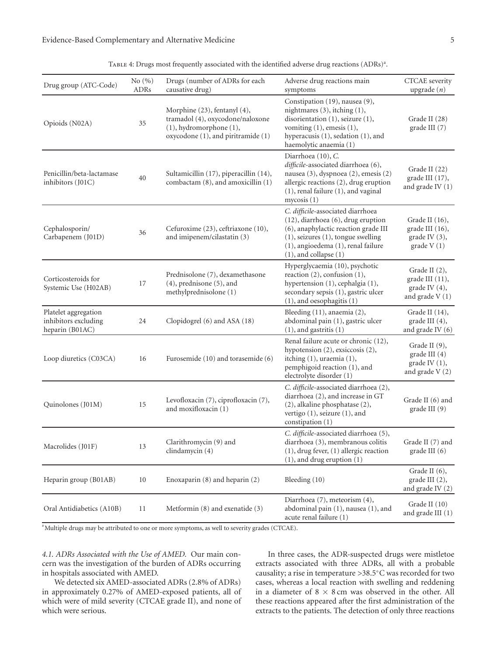| Drug group (ATC-Code)                                           | No $(\% )$<br>ADRs                                                                                | Drugs (number of ADRs for each<br>causative drug)                                                                                       | Adverse drug reactions main<br>symptoms                                                                                                                                                                                               | CTCAE severity<br>upgrade $(n)$                                          |  |
|-----------------------------------------------------------------|---------------------------------------------------------------------------------------------------|-----------------------------------------------------------------------------------------------------------------------------------------|---------------------------------------------------------------------------------------------------------------------------------------------------------------------------------------------------------------------------------------|--------------------------------------------------------------------------|--|
| Opioids (N02A)                                                  | 35                                                                                                | Morphine (23), fentanyl (4),<br>tramadol (4), oxycodone/naloxone<br>$(1)$ , hydromorphone $(1)$ ,<br>oxycodone (1), and piritramide (1) | Constipation (19), nausea (9),<br>nightmares (3), itching (1),<br>disorientation (1), seizure (1),<br>vomiting $(1)$ , emesis $(1)$ ,<br>hyperacusis (1), sedation (1), and<br>haemolytic anaemia (1)                                 | Grade II (28)<br>grade III (7)                                           |  |
| Penicillin/beta-lactamase<br>inhibitors (J01C)                  | Sultamicillin (17), piperacillin (14),<br>40<br>combactam (8), and amoxicillin (1)                |                                                                                                                                         | Diarrhoea (10), C.<br>difficile-associated diarrhoea (6),<br>nausea (3), dyspnoea (2), emesis (2)<br>allergic reactions (2), drug eruption<br>$(1)$ , renal failure $(1)$ , and vaginal<br>mycosis (1)                                | Grade II (22)<br>grade III (17),<br>and grade IV $(1)$                   |  |
| Cephalosporin/<br>Carbapenem (J01D)                             | Cefuroxime (23), ceftriaxone (10),<br>36<br>and imipenem/cilastatin (3)                           |                                                                                                                                         | C. difficile-associated diarrhoea<br>$(12)$ , diarrhoea $(6)$ , drug eruption<br>(6), anaphylactic reaction grade III<br>$(1)$ , seizures $(1)$ , tongue swelling<br>(1), angioedema (1), renal failure<br>$(1)$ , and collapse $(1)$ | Grade II (16),<br>grade III (16),<br>grade IV (3),<br>grade V(1)         |  |
| Corticosteroids for<br>Systemic Use (H02AB)                     | Prednisolone (7), dexamethasone<br>$(4)$ , prednisone $(5)$ , and<br>17<br>methylprednisolone (1) |                                                                                                                                         | Hyperglycaemia (10), psychotic<br>reaction $(2)$ , confusion $(1)$ ,<br>hypertension (1), cephalgia (1),<br>secondary sepsis (1), gastric ulcer<br>$(1)$ , and oesophagitis $(1)$                                                     | Grade II $(2)$ ,<br>grade III (11),<br>grade IV (4),<br>and grade $V(1)$ |  |
| Platelet aggregation<br>inhibitors excluding<br>heparin (B01AC) | 24                                                                                                | Clopidogrel (6) and ASA (18)                                                                                                            | Bleeding (11), anaemia (2),<br>abdominal pain (1), gastric ulcer<br>$(1)$ , and gastritis $(1)$                                                                                                                                       | Grade II (14),<br>grade III (4),<br>and grade IV (6)                     |  |
| Loop diuretics (C03CA)<br>16                                    |                                                                                                   | Furosemide (10) and torasemide (6)                                                                                                      | Renal failure acute or chronic (12),<br>hypotension (2), exsiccosis (2),<br>itching (1), uraemia (1),<br>pemphigoid reaction (1), and<br>electrolyte disorder (1)                                                                     | Grade II (9),<br>grade III (4)<br>grade IV (1),<br>and grade $V(2)$      |  |
| Quinolones (J01M)                                               | 15                                                                                                | Levofloxacin (7), ciprofloxacin (7),<br>and moxifloxacin (1)                                                                            | C. difficile-associated diarrhoea (2),<br>diarrhoea (2), and increase in GT<br>(2), alkaline phosphatase (2),<br>vertigo (1), seizure (1), and<br>constipation $(1)$                                                                  | Grade II (6) and<br>grade III (9)                                        |  |
| Macrolides (J01F)                                               | 13                                                                                                | Clarithromycin (9) and<br>clindamycin (4)                                                                                               | C. difficile-associated diarrhoea (5),<br>diarrhoea (3), membranous colitis<br>$(1)$ , drug fever, $(1)$ allergic reaction<br>$(1)$ , and drug eruption $(1)$                                                                         | Grade II (7) and<br>grade III $(6)$                                      |  |
| Heparin group (B01AB)                                           | 10                                                                                                | Enoxaparin $(8)$ and heparin $(2)$                                                                                                      | Bleeding (10)                                                                                                                                                                                                                         | Grade II (6),<br>grade III $(2)$ ,<br>and grade IV $(2)$                 |  |
| Oral Antidiabetics (A10B)                                       | Metformin (8) and exenatide (3)<br>11                                                             |                                                                                                                                         | Diarrhoea (7), meteorism (4),<br>abdominal pain (1), nausea (1), and<br>acute renal failure (1)                                                                                                                                       | Grade II (10)<br>and grade III (1)                                       |  |

TABLE 4: Drugs most frequently associated with the identified adverse drug reactions (ADRs)<sup>a</sup>.

<sup>a</sup> Multiple drugs may be attributed to one or more symptoms, as well to severity grades (CTCAE).

*4.1. ADRs Associated with the Use of AMED.* Our main concern was the investigation of the burden of ADRs occurring in hospitals associated with AMED.

We detected six AMED-associated ADRs (2.8% of ADRs) in approximately 0.27% of AMED-exposed patients, all of which were of mild severity (CTCAE grade II), and none of which were serious.

In three cases, the ADR-suspected drugs were mistletoe extracts associated with three ADRs, all with a probable causality; a rise in temperature *>*38.5◦C was recorded for two cases, whereas a local reaction with swelling and reddening in a diameter of  $8 \times 8$  cm was observed in the other. All these reactions appeared after the first administration of the extracts to the patients. The detection of only three reactions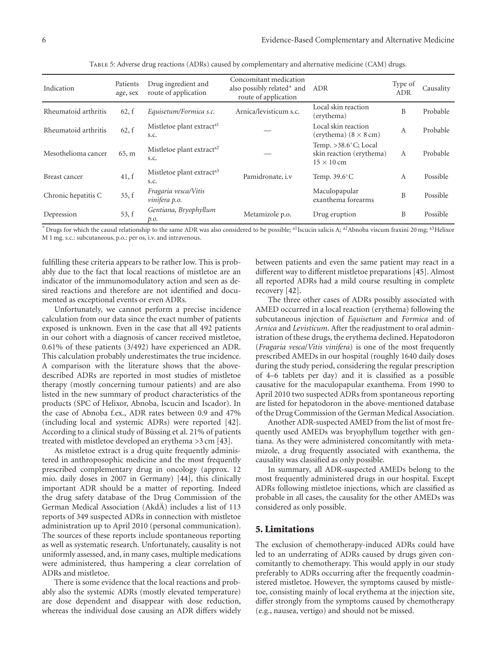| Indication           | Patients<br>age, sex | Drug ingredient and<br>route of application   | Concomitant medication<br>also possibly related* and<br>route of application | ADR                                                                             | Type of<br><b>ADR</b> | Causality |
|----------------------|----------------------|-----------------------------------------------|------------------------------------------------------------------------------|---------------------------------------------------------------------------------|-----------------------|-----------|
| Rheumatoid arthritis | 62, f                | Equisetum/Formica s.c.                        | Arnica/levisticum s.c.                                                       | Local skin reaction<br>(erythema)                                               | B                     | Probable  |
| Rheumatoid arthritis | 62, f                | Mistletoe plant extract <sup>al</sup><br>S.C. |                                                                              | Local skin reaction<br>(erythema) $(8 \times 8 \text{ cm})$                     | A                     | Probable  |
| Mesothelioma cancer  | 65, m                | Mistletoe plant extract <sup>a2</sup><br>S.C. |                                                                              | Temp. $>38.6^{\circ}$ C; Local<br>skin reaction (erythema)<br>$15 \times 10$ cm | $\mathsf{A}$          | Probable  |
| Breast cancer        | 41, f                | Mistletoe plant extract <sup>a3</sup><br>S.C. | Pamidronate, i.v                                                             | Temp. $39.6^{\circ}$ C                                                          | A                     | Possible  |
| Chronic hepatitis C  | 35, f                | Fragaria vesca/Vitis<br>vinifera p.o.         |                                                                              | Maculopapular<br>exanthema forearms                                             | B                     | Possible  |
| Depression           | 53, f                | Gentiana, Bryophyllum<br>p.o.                 | Metamizole p.o.                                                              | Drug eruption                                                                   | B                     | Possible  |

Table 5: Adverse drug reactions (ADRs) caused by complementary and alternative medicine (CAM) drugs.

\* Drugs for which the causal relationship to the same ADR was also considered to be possible; <sup>a1</sup>Iscucin salicis A; <sup>a2</sup>Abnoba viscum fraxini 20 mg; <sup>a3</sup>Helixor M 1 mg. s.c.: subcutaneous, p.o.: per os, i.v. and intravenous.

fulfilling these criteria appears to be rather low. This is probably due to the fact that local reactions of mistletoe are an indicator of the immunomodulatory action and seen as desired reactions and therefore are not identified and documented as exceptional events or even ADRs.

Unfortunately, we cannot perform a precise incidence calculation from our data since the exact number of patients exposed is unknown. Even in the case that all 492 patients in our cohort with a diagnosis of cancer received mistletoe, 0.61% of these patients (3/492) have experienced an ADR. This calculation probably underestimates the true incidence. A comparison with the literature shows that the abovedescribed ADRs are reported in most studies of mistletoe therapy (mostly concerning tumour patients) and are also listed in the new summary of product characteristics of the products (SPC of Helixor, Abnoba, Iscucin and Iscador). In the case of Abnoba f.ex., ADR rates between 0.9 and 47% (including local and systemic ADRs) were reported [42]. According to a clinical study of Büssing et al. 21% of patients treated with mistletoe developed an erythema *>*3 cm [43].

As mistletoe extract is a drug quite frequently administered in anthroposophic medicine and the most frequently prescribed complementary drug in oncology (approx. 12 mio. daily doses in 2007 in Germany) [44], this clinically important ADR should be a matter of reporting. Indeed the drug safety database of the Drug Commission of the German Medical Association (AkdA) includes a list of 113 reports of 349 suspected ADRs in connection with mistletoe administration up to April 2010 (personal communication). The sources of these reports include spontaneous reporting as well as systematic research. Unfortunately, causality is not uniformly assessed, and, in many cases, multiple medications were administered, thus hampering a clear correlation of ADRs and mistletoe.

There is some evidence that the local reactions and probably also the systemic ADRs (mostly elevated temperature) are dose dependent and disappear with dose reduction, whereas the individual dose causing an ADR differs widely between patients and even the same patient may react in a different way to different mistletoe preparations [45]. Almost all reported ADRs had a mild course resulting in complete recovery [42].

The three other cases of ADRs possibly associated with AMED occurred in a local reaction (erythema) following the subcutaneous injection of *Equisetum* and *Formica* and of *Arnica* and *Levisticum*. After the readjustment to oral administration of these drugs, the erythema declined. Hepatodoron (*Fragaria vesca*/*Vitis vinifera*) is one of the most frequently prescribed AMEDs in our hospital (roughly 1640 daily doses during the study period, considering the regular prescription of 4–6 tablets per day) and it is classified as a possible causative for the maculopapular exanthema. From 1990 to April 2010 two suspected ADRs from spontaneous reporting are listed for hepatodoron in the above-mentioned database of the Drug Commission of the German Medical Association.

Another ADR-suspected AMED from the list of most frequently used AMEDs was bryophyllum together with gentiana. As they were administered concomitantly with metamizole, a drug frequently associated with exanthema, the causality was classified as only possible.

In summary, all ADR-suspected AMEDs belong to the most frequently administered drugs in our hospital. Except ADRs following mistletoe injections, which are classified as probable in all cases, the causality for the other AMEDs was considered as only possible.

#### **5. Limitations**

The exclusion of chemotherapy-induced ADRs could have led to an underrating of ADRs caused by drugs given concomitantly to chemotherapy. This would apply in our study preferably to ADRs occurring after the frequently coadministered mistletoe. However, the symptoms caused by mistletoe, consisting mainly of local erythema at the injection site, differ strongly from the symptoms caused by chemotherapy (e.g., nausea, vertigo) and should not be missed.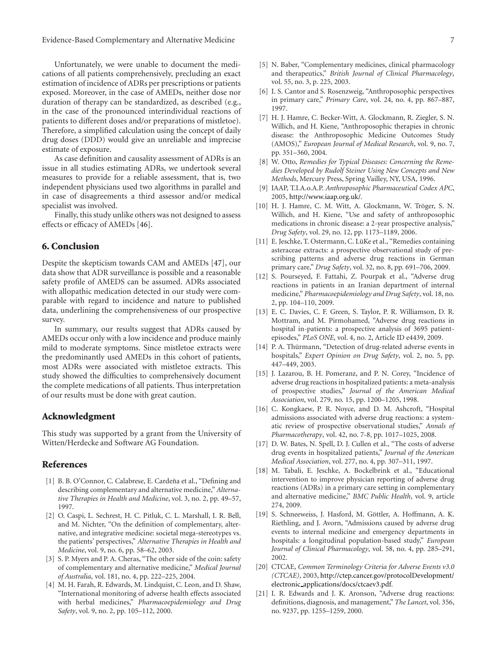Evidence-Based Complementary and Alternative Medicine 7

Unfortunately, we were unable to document the medications of all patients comprehensively, precluding an exact estimation of incidence of ADRs per prescriptions or patients exposed. Moreover, in the case of AMEDs, neither dose nor duration of therapy can be standardized, as described (e.g., in the case of the pronounced interindividual reactions of patients to different doses and/or preparations of mistletoe). Therefore, a simplified calculation using the concept of daily drug doses (DDD) would give an unreliable and imprecise estimate of exposure.

As case definition and causality assessment of ADRs is an issue in all studies estimating ADRs, we undertook several measures to provide for a reliable assessment, that is, two independent physicians used two algorithms in parallel and in case of disagreements a third assessor and/or medical specialist was involved.

Finally, this study unlike others was not designed to assess effects or efficacy of AMEDs [46].

#### **6. Conclusion**

Despite the skepticism towards CAM and AMEDs [47], our data show that ADR surveillance is possible and a reasonable safety profile of AMEDS can be assumed. ADRs associated with allopathic medication detected in our study were comparable with regard to incidence and nature to published data, underlining the comprehensiveness of our prospective survey.

In summary, our results suggest that ADRs caused by AMEDs occur only with a low incidence and produce mainly mild to moderate symptoms. Since mistletoe extracts were the predominantly used AMEDs in this cohort of patients, most ADRs were associated with mistletoe extracts. This study showed the difficulties to comprehensively document the complete medications of all patients. Thus interpretation of our results must be done with great caution.

#### **Acknowledgment**

This study was supported by a grant from the University of Witten/Herdecke and Software AG Foundation.

#### **References**

- [1] B. B. O'Connor, C. Calabrese, E. Cardeña et al., "Defining and describing complementary and alternative medicine," *Alternative Therapies in Health and Medicine*, vol. 3, no. 2, pp. 49–57, 1997.
- [2] O. Caspi, L. Sechrest, H. C. Pitluk, C. L. Marshall, I. R. Bell, and M. Nichter, "On the definition of complementary, alternative, and integrative medicine: societal mega-stereotypes vs. the patients' perspectives," *Alternative Therapies in Health and Medicine*, vol. 9, no. 6, pp. 58–62, 2003.
- [3] S. P. Myers and P. A. Cheras, "The other side of the coin: safety of complementary and alternative medicine," *Medical Journal of Australia*, vol. 181, no. 4, pp. 222–225, 2004.
- [4] M. H. Farah, R. Edwards, M. Lindquist, C. Leon, and D. Shaw, "International monitoring of adverse health effects associated with herbal medicines," *Pharmacoepidemiology and Drug Safety*, vol. 9, no. 2, pp. 105–112, 2000.
- [6] I. S. Cantor and S. Rosenzweig, "Anthroposophic perspectives in primary care," *Primary Care*, vol. 24, no. 4, pp. 867–887, 1997.
- [7] H. J. Hamre, C. Becker-Witt, A. Glockmann, R. Ziegler, S. N. Willich, and H. Kiene, "Anthroposophic therapies in chronic disease: the Anthroposophic Medicine Outcomes Study (AMOS)," *European Journal of Medical Research*, vol. 9, no. 7, pp. 351–360, 2004.
- [8] W. Otto, *Remedies for Typical Diseases: Concerning the Remedies Developed by Rudolf Steiner Using New Concepts and New Methods*, Mercury Press, Spring Vailley, NY, USA, 1996.
- [9] IAAP, T.I.A.o.A.P. *Anthroposophic Pharmaceutical Codex APC*, 2005, http://www.iaap.org.uk/.
- [10] H. J. Hamre, C. M. Witt, A. Glockmann, W. Tröger, S. N. Willich, and H. Kiene, "Use and safety of anthroposophic medications in chronic disease: a 2-year prospective analysis," *Drug Safety*, vol. 29, no. 12, pp. 1173–1189, 2006.
- [11] E. Jeschke, T. Ostermann, C. LüKe et al., "Remedies containing asteraceae extracts: a prospective observational study of prescribing patterns and adverse drug reactions in German primary care," *Drug Safety*, vol. 32, no. 8, pp. 691–706, 2009.
- [12] S. Pourseyed, F. Fattahi, Z. Pourpak et al., "Adverse drug reactions in patients in an Iranian department of internal medicine," *Pharmacoepidemiology and Drug Safety*, vol. 18, no. 2, pp. 104–110, 2009.
- [13] E. C. Davies, C. F. Green, S. Taylor, P. R. Williamson, D. R. Mottram, and M. Pirmohamed, "Adverse drug reactions in hospital in-patients: a prospective analysis of 3695 patientepisodes," *PLoS ONE*, vol. 4, no. 2, Article ID e4439, 2009.
- [14] P. A. Thürmann, "Detection of drug-related adverse events in hospitals," *Expert Opinion on Drug Safety*, vol. 2, no. 5, pp. 447–449, 2003.
- [15] J. Lazarou, B. H. Pomeranz, and P. N. Corey, "Incidence of adverse drug reactions in hospitalized patients: a meta-analysis of prospective studies," *Journal of the American Medical Association*, vol. 279, no. 15, pp. 1200–1205, 1998.
- [16] C. Kongkaew, P. R. Noyce, and D. M. Ashcroft, "Hospital admissions associated with adverse drug reactions: a systematic review of prospective observational studies," *Annals of Pharmacotherapy*, vol. 42, no. 7-8, pp. 1017–1025, 2008.
- [17] D. W. Bates, N. Spell, D. J. Cullen et al., "The costs of adverse drug events in hospitalized patients," *Journal of the American Medical Association*, vol. 277, no. 4, pp. 307–311, 1997.
- [18] M. Tabali, E. Jeschke, A. Bockelbrink et al., "Educational intervention to improve physician reporting of adverse drug reactions (ADRs) in a primary care setting in complementary and alternative medicine," *BMC Public Health*, vol. 9, article 274, 2009.
- [19] S. Schneeweiss, J. Hasford, M. Göttler, A. Hoffmann, A. K. Riethling, and J. Avorn, "Admissions caused by adverse drug events to internal medicine and emergency departments in hospitals: a longitudinal population-based study," *European Journal of Clinical Pharmacology*, vol. 58, no. 4, pp. 285–291, 2002.
- [20] CTCAE, *Common Terminology Criteria for Adverse Events v3.0 (CTCAE)*, 2003, http://ctep.cancer.gov/protocolDevelopment/ electronic applications/docs/ctcaev3.pdf.
- [21] I. R. Edwards and J. K. Aronson, "Adverse drug reactions: definitions, diagnosis, and management," *The Lancet*, vol. 356, no. 9237, pp. 1255–1259, 2000.